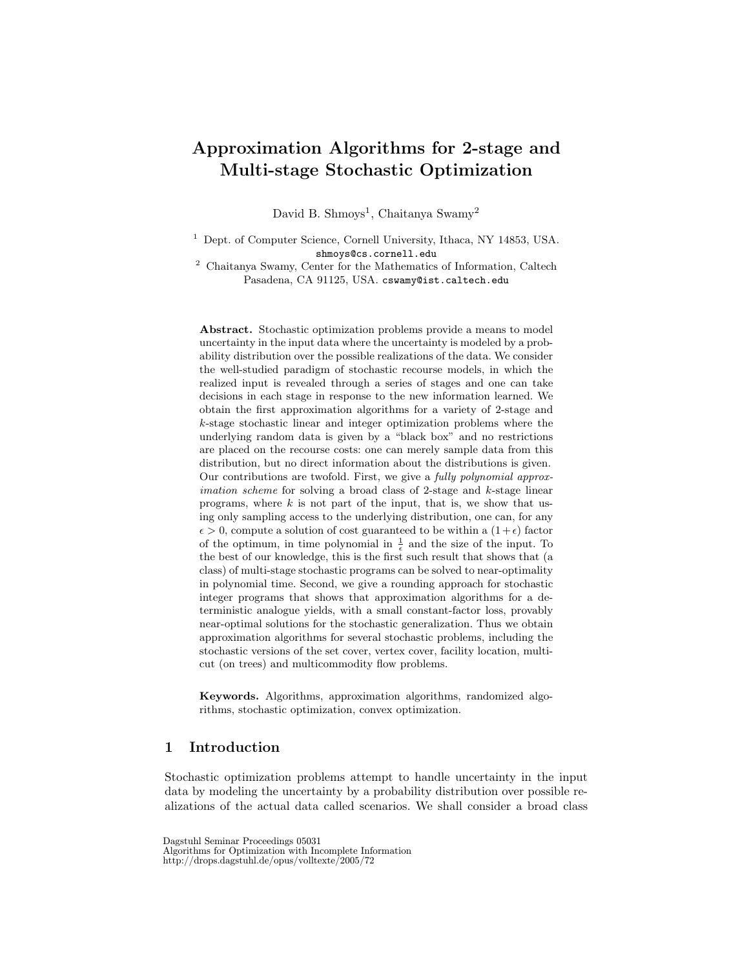# Approximation Algorithms for 2-stage and Multi-stage Stochastic Optimization

David B. Shmoys<sup>1</sup>, Chaitanya Swamy<sup>2</sup>

<sup>1</sup> Dept. of Computer Science, Cornell University, Ithaca, NY 14853, USA. shmoys@cs.cornell.edu

<sup>2</sup> Chaitanya Swamy, Center for the Mathematics of Information, Caltech Pasadena, CA 91125, USA. cswamy@ist.caltech.edu

Abstract. Stochastic optimization problems provide a means to model uncertainty in the input data where the uncertainty is modeled by a probability distribution over the possible realizations of the data. We consider the well-studied paradigm of stochastic recourse models, in which the realized input is revealed through a series of stages and one can take decisions in each stage in response to the new information learned. We obtain the first approximation algorithms for a variety of 2-stage and k-stage stochastic linear and integer optimization problems where the underlying random data is given by a "black box" and no restrictions are placed on the recourse costs: one can merely sample data from this distribution, but no direct information about the distributions is given. Our contributions are twofold. First, we give a fully polynomial approximation scheme for solving a broad class of 2-stage and k-stage linear programs, where  $k$  is not part of the input, that is, we show that using only sampling access to the underlying distribution, one can, for any  $\epsilon > 0$ , compute a solution of cost guaranteed to be within a  $(1+\epsilon)$  factor of the optimum, in time polynomial in  $\frac{1}{\epsilon}$  and the size of the input. To the best of our knowledge, this is the first such result that shows that (a class) of multi-stage stochastic programs can be solved to near-optimality in polynomial time. Second, we give a rounding approach for stochastic integer programs that shows that approximation algorithms for a deterministic analogue yields, with a small constant-factor loss, provably near-optimal solutions for the stochastic generalization. Thus we obtain approximation algorithms for several stochastic problems, including the stochastic versions of the set cover, vertex cover, facility location, multicut (on trees) and multicommodity flow problems.

Keywords. Algorithms, approximation algorithms, randomized algorithms, stochastic optimization, convex optimization.

## 1 Introduction

Stochastic optimization problems attempt to handle uncertainty in the input data by modeling the uncertainty by a probability distribution over possible realizations of the actual data called scenarios. We shall consider a broad class

Dagstuhl Seminar Proceedings 05031

Algorithms for Optimization with Incomplete Information http://drops.dagstuhl.de/opus/volltexte/2005/72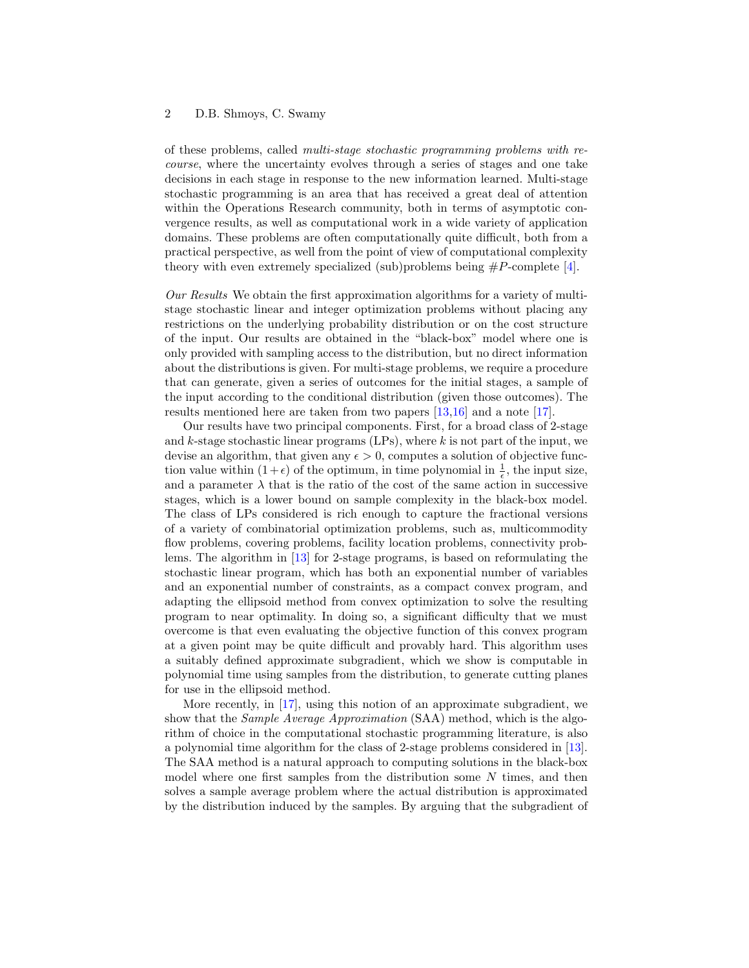#### 2 D.B. Shmoys, C. Swamy

of these problems, called multi-stage stochastic programming problems with recourse, where the uncertainty evolves through a series of stages and one take decisions in each stage in response to the new information learned. Multi-stage stochastic programming is an area that has received a great deal of attention within the Operations Research community, both in terms of asymptotic convergence results, as well as computational work in a wide variety of application domains. These problems are often computationally quite difficult, both from a practical perspective, as well from the point of view of computational complexity theory with even extremely specialized (sub)problems being  $\#P$ -complete [\[4\]](#page-4-0).

Our Results We obtain the first approximation algorithms for a variety of multistage stochastic linear and integer optimization problems without placing any restrictions on the underlying probability distribution or on the cost structure of the input. Our results are obtained in the "black-box" model where one is only provided with sampling access to the distribution, but no direct information about the distributions is given. For multi-stage problems, we require a procedure that can generate, given a series of outcomes for the initial stages, a sample of the input according to the conditional distribution (given those outcomes). The results mentioned here are taken from two papers [\[13](#page-4-1)[,16\]](#page-4-2) and a note [\[17\]](#page-4-3).

Our results have two principal components. First, for a broad class of 2-stage and k-stage stochastic linear programs (LPs), where  $k$  is not part of the input, we devise an algorithm, that given any  $\epsilon > 0$ , computes a solution of objective function value within  $(1+\epsilon)$  of the optimum, in time polynomial in  $\frac{1}{\epsilon}$ , the input size, and a parameter  $\lambda$  that is the ratio of the cost of the same action in successive stages, which is a lower bound on sample complexity in the black-box model. The class of LPs considered is rich enough to capture the fractional versions of a variety of combinatorial optimization problems, such as, multicommodity flow problems, covering problems, facility location problems, connectivity problems. The algorithm in [\[13\]](#page-4-1) for 2-stage programs, is based on reformulating the stochastic linear program, which has both an exponential number of variables and an exponential number of constraints, as a compact convex program, and adapting the ellipsoid method from convex optimization to solve the resulting program to near optimality. In doing so, a significant difficulty that we must overcome is that even evaluating the objective function of this convex program at a given point may be quite difficult and provably hard. This algorithm uses a suitably defined approximate subgradient, which we show is computable in polynomial time using samples from the distribution, to generate cutting planes for use in the ellipsoid method.

More recently, in [\[17\]](#page-4-3), using this notion of an approximate subgradient, we show that the *Sample Average Approximation* (SAA) method, which is the algorithm of choice in the computational stochastic programming literature, is also a polynomial time algorithm for the class of 2-stage problems considered in [\[13\]](#page-4-1). The SAA method is a natural approach to computing solutions in the black-box model where one first samples from the distribution some N times, and then solves a sample average problem where the actual distribution is approximated by the distribution induced by the samples. By arguing that the subgradient of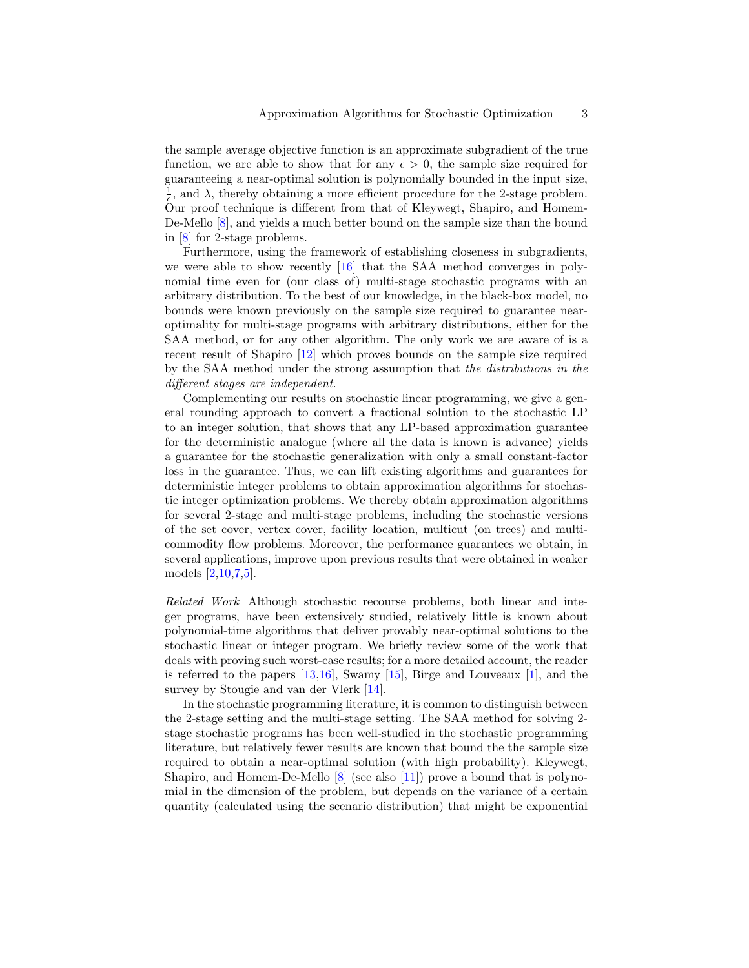the sample average objective function is an approximate subgradient of the true function, we are able to show that for any  $\epsilon > 0$ , the sample size required for guaranteeing a near-optimal solution is polynomially bounded in the input size,  $\frac{1}{\epsilon}$ , and  $\lambda$ , thereby obtaining a more efficient procedure for the 2-stage problem. Our proof technique is different from that of Kleywegt, Shapiro, and Homem-De-Mello [\[8\]](#page-4-4), and yields a much better bound on the sample size than the bound in [\[8\]](#page-4-4) for 2-stage problems.

Furthermore, using the framework of establishing closeness in subgradients, we were able to show recently [\[16\]](#page-4-2) that the SAA method converges in polynomial time even for (our class of) multi-stage stochastic programs with an arbitrary distribution. To the best of our knowledge, in the black-box model, no bounds were known previously on the sample size required to guarantee nearoptimality for multi-stage programs with arbitrary distributions, either for the SAA method, or for any other algorithm. The only work we are aware of is a recent result of Shapiro [\[12\]](#page-4-5) which proves bounds on the sample size required by the SAA method under the strong assumption that the distributions in the different stages are independent.

Complementing our results on stochastic linear programming, we give a general rounding approach to convert a fractional solution to the stochastic LP to an integer solution, that shows that any LP-based approximation guarantee for the deterministic analogue (where all the data is known is advance) yields a guarantee for the stochastic generalization with only a small constant-factor loss in the guarantee. Thus, we can lift existing algorithms and guarantees for deterministic integer problems to obtain approximation algorithms for stochastic integer optimization problems. We thereby obtain approximation algorithms for several 2-stage and multi-stage problems, including the stochastic versions of the set cover, vertex cover, facility location, multicut (on trees) and multicommodity flow problems. Moreover, the performance guarantees we obtain, in several applications, improve upon previous results that were obtained in weaker models [\[2,](#page-3-0)[10,](#page-4-6)[7,](#page-4-7)[5\]](#page-4-8).

Related Work Although stochastic recourse problems, both linear and integer programs, have been extensively studied, relatively little is known about polynomial-time algorithms that deliver provably near-optimal solutions to the stochastic linear or integer program. We briefly review some of the work that deals with proving such worst-case results; for a more detailed account, the reader is referred to the papers [\[13](#page-4-1)[,16\]](#page-4-2), Swamy [\[15\]](#page-4-9), Birge and Louveaux [\[1\]](#page-3-1), and the survey by Stougie and van der Vlerk [\[14\]](#page-4-10).

In the stochastic programming literature, it is common to distinguish between the 2-stage setting and the multi-stage setting. The SAA method for solving 2 stage stochastic programs has been well-studied in the stochastic programming literature, but relatively fewer results are known that bound the the sample size required to obtain a near-optimal solution (with high probability). Kleywegt, Shapiro, and Homem-De-Mello  $[8]$  (see also [\[11\]](#page-4-11)) prove a bound that is polynomial in the dimension of the problem, but depends on the variance of a certain quantity (calculated using the scenario distribution) that might be exponential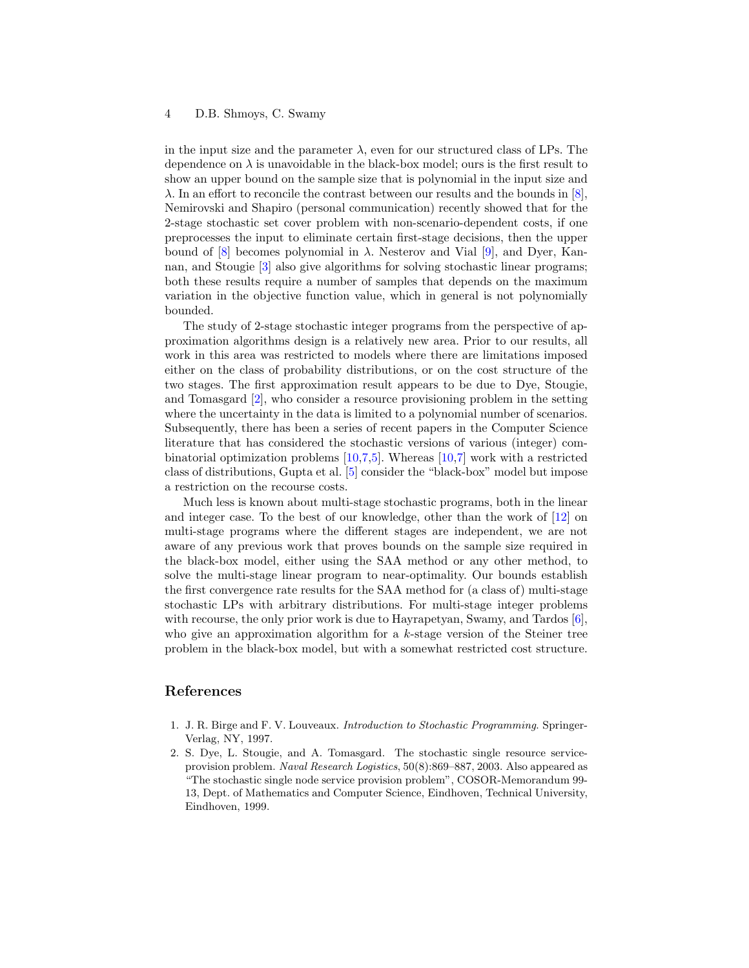#### 4 D.B. Shmoys, C. Swamy

in the input size and the parameter  $\lambda$ , even for our structured class of LPs. The dependence on  $\lambda$  is unavoidable in the black-box model; ours is the first result to show an upper bound on the sample size that is polynomial in the input size and  $\lambda$ . In an effort to reconcile the contrast between our results and the bounds in [\[8\]](#page-4-4). Nemirovski and Shapiro (personal communication) recently showed that for the 2-stage stochastic set cover problem with non-scenario-dependent costs, if one preprocesses the input to eliminate certain first-stage decisions, then the upper bound of [\[8\]](#page-4-4) becomes polynomial in  $\lambda$ . Nesterov and Vial [\[9\]](#page-4-12), and Dyer, Kannan, and Stougie [\[3\]](#page-4-13) also give algorithms for solving stochastic linear programs; both these results require a number of samples that depends on the maximum variation in the objective function value, which in general is not polynomially bounded.

The study of 2-stage stochastic integer programs from the perspective of approximation algorithms design is a relatively new area. Prior to our results, all work in this area was restricted to models where there are limitations imposed either on the class of probability distributions, or on the cost structure of the two stages. The first approximation result appears to be due to Dye, Stougie, and Tomasgard [\[2\]](#page-3-0), who consider a resource provisioning problem in the setting where the uncertainty in the data is limited to a polynomial number of scenarios. Subsequently, there has been a series of recent papers in the Computer Science literature that has considered the stochastic versions of various (integer) combinatorial optimization problems  $[10,7,5]$  $[10,7,5]$  $[10,7,5]$ . Whereas  $[10,7]$  $[10,7]$  work with a restricted class of distributions, Gupta et al. [\[5\]](#page-4-8) consider the "black-box" model but impose a restriction on the recourse costs.

Much less is known about multi-stage stochastic programs, both in the linear and integer case. To the best of our knowledge, other than the work of [\[12\]](#page-4-5) on multi-stage programs where the different stages are independent, we are not aware of any previous work that proves bounds on the sample size required in the black-box model, either using the SAA method or any other method, to solve the multi-stage linear program to near-optimality. Our bounds establish the first convergence rate results for the SAA method for (a class of) multi-stage stochastic LPs with arbitrary distributions. For multi-stage integer problems with recourse, the only prior work is due to Hayrapetyan, Swamy, and Tardos [\[6\]](#page-4-14), who give an approximation algorithm for a  $k$ -stage version of the Steiner tree problem in the black-box model, but with a somewhat restricted cost structure.

### References

- <span id="page-3-1"></span>1. J. R. Birge and F. V. Louveaux. Introduction to Stochastic Programming. Springer-Verlag, NY, 1997.
- <span id="page-3-0"></span>2. S. Dye, L. Stougie, and A. Tomasgard. The stochastic single resource serviceprovision problem. Naval Research Logistics, 50(8):869–887, 2003. Also appeared as "The stochastic single node service provision problem", COSOR-Memorandum 99- 13, Dept. of Mathematics and Computer Science, Eindhoven, Technical University, Eindhoven, 1999.